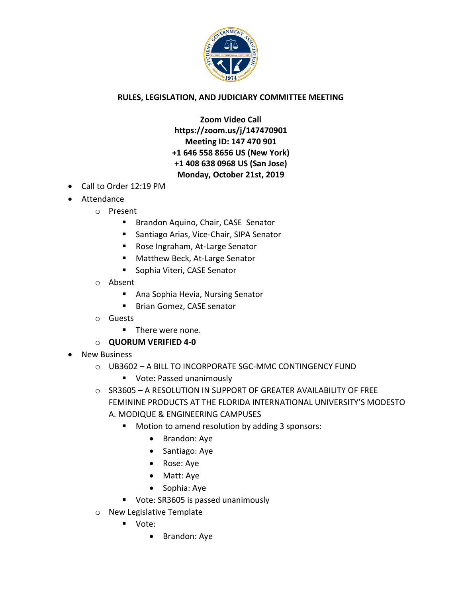

## **RULES, LEGISLATION, AND JUDICIARY COMMITTEE MEETING**

**Zoom Video Call https://zoom.us/j/147470901 Meeting ID: 147 470 901 +1 646 558 8656 US (New York) +1 408 638 0968 US (San Jose) Monday, October 21st, 2019**

- Call to Order 12:19 PM
- Attendance
	- o Present
		- **Brandon Aquino, Chair, CASE Senator**
		- Santiago Arias, Vice-Chair, SIPA Senator
		- Rose Ingraham, At-Large Senator
		- Matthew Beck, At-Large Senator
		- **Sophia Viteri, CASE Senator**
	- o Absent
		- **Ana Sophia Hevia, Nursing Senator**
		- Brian Gomez, CASE senator
	- o Guests
		- **There were none.**
	- o **QUORUM VERIFIED 4-0**
- New Business
	- o UB3602 A BILL TO INCORPORATE SGC-MMC CONTINGENCY FUND
		- **Vote: Passed unanimously**
	- o SR3605 A RESOLUTION IN SUPPORT OF GREATER AVAILABILITY OF FREE FEMININE PRODUCTS AT THE FLORIDA INTERNATIONAL UNIVERSITY'S MODESTO A. MODIQUE & ENGINEERING CAMPUSES
		- Motion to amend resolution by adding 3 sponsors:
			- Brandon: Aye
			- Santiago: Aye
			- Rose: Aye
			- Matt: Aye
			- Sophia: Aye
		- **Vote: SR3605 is passed unanimously**
	- o New Legislative Template
		- Vote:
			- Brandon: Aye